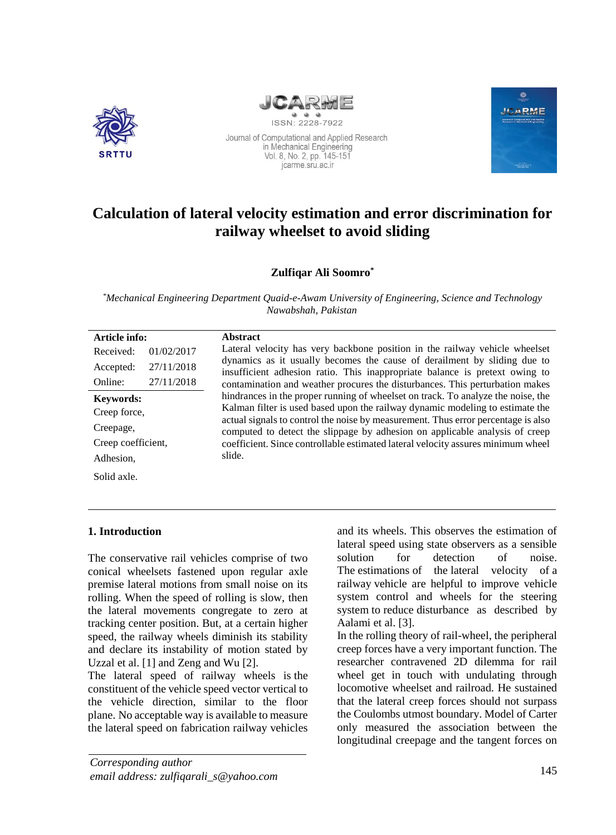



Journal of Computational and Applied Research in Mechanical Engineering Vol. 8, No. 2, pp. 145-151 icarme.sru.ac.ir



# **Calculation of lateral velocity estimation and error discrimination for railway wheelset to avoid sliding**

## **Zulfiqar Ali Soomro\***

*\*Mechanical Engineering Department Quaid-e-Awam University of Engineering, Science and Technology Nawabshah, Pakistan* 

## **1. Introduction**

The conservative rail vehicles comprise of two conical wheelsets fastened upon regular axle premise lateral motions from small noise on its rolling. When the speed of rolling is slow, then the lateral movements congregate to zero at tracking center position. But, at a certain higher speed, the railway wheels diminish its stability and declare its instability of motion stated by Uzzal et al. [1] and Zeng and Wu [2].

The lateral speed of railway wheels is the constituent of the vehicle speed vector vertical to the vehicle direction, similar to the floor plane. No acceptable way is available to measure the lateral speed on fabrication railway vehicles

*Corresponding author email address: [zulfiqarali\\_s@yahoo.com](mailto:zulfiqarali_s@yahoo.com)* and its wheels. This observes the estimation of lateral speed using state observers as a sensible solution for detection of noise. The estimations of the lateral velocity of a railway vehicle are helpful to improve vehicle system control and wheels for the steering system to reduce disturbance as described by Aalami et al. [3].

In the rolling theory of rail-wheel, the peripheral creep forces have a very important function. The researcher contravened 2D dilemma for rail wheel get in touch with undulating through locomotive wheelset and railroad. He sustained that the lateral creep forces should not surpass the Coulombs utmost boundary. Model of Carter only measured the association between the longitudinal creepage and the tangent forces on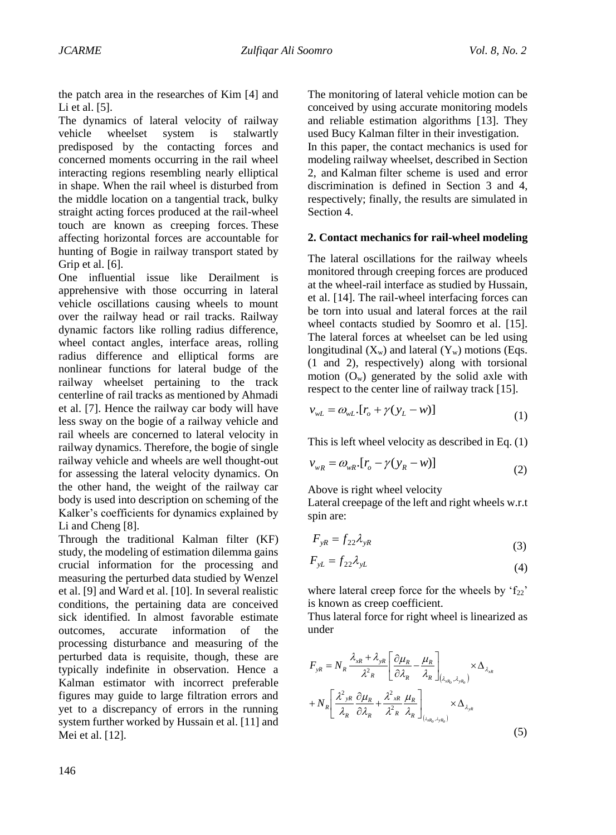the patch area in the researches of Kim [4] and Li et al. [5].

The dynamics of lateral velocity of railway vehicle wheelset system is stalwartly predisposed by the contacting forces and concerned moments occurring in the rail wheel interacting regions resembling nearly elliptical in shape. When the rail wheel is disturbed from the middle location on a tangential track, bulky straight acting forces produced at the rail-wheel touch are known as creeping forces. These affecting horizontal forces are accountable for hunting of Bogie in railway transport stated by Grip et al. [6].

One influential issue like Derailment is apprehensive with those occurring in lateral vehicle oscillations causing wheels to mount over the railway head or rail tracks. Railway dynamic factors like rolling radius difference, wheel contact angles, interface areas, rolling radius difference and elliptical forms are nonlinear functions for lateral budge of the railway wheelset pertaining to the track centerline of rail tracks as mentioned by Ahmadi et al. [7]. Hence the railway car body will have less sway on the bogie of a railway vehicle and rail wheels are concerned to lateral velocity in railway dynamics. Therefore, the bogie of single railway vehicle and wheels are well thought-out for assessing the lateral velocity dynamics. On the other hand, the weight of the railway car body is used into description on scheming of the Kalker's coefficients for dynamics explained by Li and Cheng [8].

Through the traditional Kalman filter (KF) study, the modeling of estimation dilemma gains crucial information for the processing and measuring the perturbed data studied by Wenzel et al. [9] and Ward et al. [10]. In several realistic conditions, the pertaining data are conceived sick identified. In almost favorable estimate outcomes, accurate information of the processing disturbance and measuring of the perturbed data is requisite, though, these are typically indefinite in observation. Hence a Kalman estimator with incorrect preferable figures may guide to large filtration errors and yet to a discrepancy of errors in the running system further worked by Hussain et al. [11] and Mei et al. [12].

The monitoring of lateral vehicle motion can be conceived by using accurate monitoring models and reliable estimation algorithms [13]. They used Bucy Kalman filter in their investigation. In this paper, the contact mechanics is used for modeling railway wheelset, described in Section 2, and Kalman filter scheme is used and error discrimination is defined in Section 3 and 4, respectively; finally, the results are simulated in Section 4.

## **2. Contact mechanics for rail-wheel modeling**

The lateral oscillations for the railway wheels monitored through creeping forces are produced at the wheel-rail interface as studied by Hussain, et al. [14]. The rail-wheel interfacing forces can be torn into usual and lateral forces at the rail wheel contacts studied by Soomro et al. [15]. The lateral forces at wheelset can be led using longitudinal  $(X_w)$  and lateral  $(Y_w)$  motions (Eqs. (1 and 2), respectively) along with torsional motion  $(O_w)$  generated by the solid axle with respect to the center line of railway track [15].

$$
v_{wL} = \omega_{wL} [r_o + \gamma (y_L - w)] \tag{1}
$$

This is left wheel velocity as described in Eq. (1)

$$
v_{wR} = \omega_{wR} \cdot [r_o - \gamma (y_R - w)] \tag{2}
$$

Above is right wheel velocity

Lateral creepage of the left and right wheels w.r.t spin are:

$$
F_{yR} = f_{22} \lambda_{yR} \tag{3}
$$

$$
F_{yL} = f_{22} \lambda_{yL} \tag{4}
$$

where lateral creep force for the wheels by  $f_{22}$ ' is known as creep coefficient.

Thus lateral force for right wheel is linearized as under

$$
F_{yR} = N_R \frac{\lambda_{xR} + \lambda_{yR}}{\lambda^2 R} \left[ \frac{\partial \mu_R}{\partial \lambda_R} - \frac{\mu_R}{\lambda_R} \right]_{(\lambda_{xR_o}, \lambda_{yR_o})} \times \Delta_{\lambda_{xR}}
$$

$$
+ N_R \left[ \frac{\lambda^2_{yR}}{\lambda_R} \frac{\partial \mu_R}{\partial \lambda_R} + \frac{\lambda^2_{xR}}{\lambda^2 R} \frac{\mu_R}{\lambda_R} \right]_{(\lambda_{xR_o}, \lambda_{yR_o})} \times \Delta_{\lambda_{yR}}
$$
(5)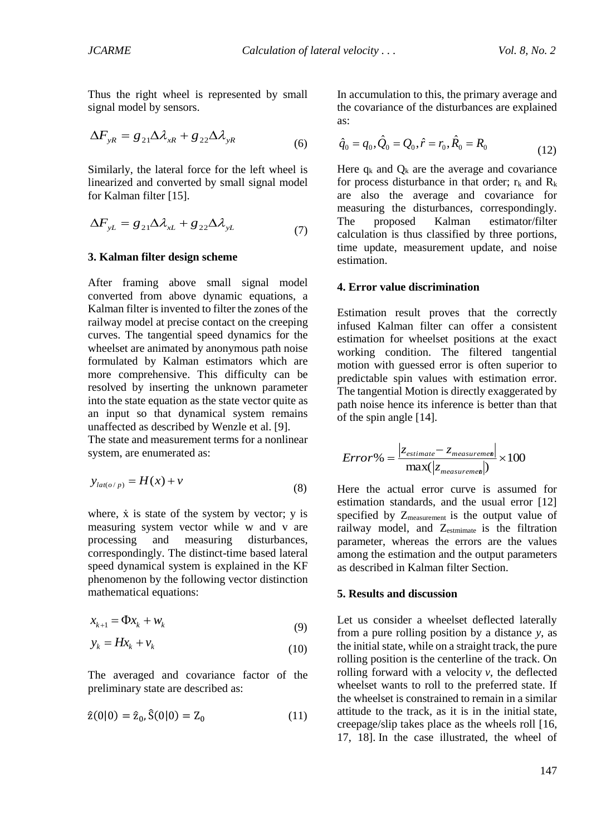Thus the right wheel is represented by small signal model by sensors.

$$
\Delta F_{yR} = g_{21} \Delta \lambda_{xR} + g_{22} \Delta \lambda_{yR} \tag{6}
$$

Similarly, the lateral force for the left wheel is linearized and converted by small signal model for Kalman filter [15].

$$
\Delta F_{yL} = g_{21} \Delta \lambda_{xL} + g_{22} \Delta \lambda_{yL} \tag{7}
$$

#### **3. Kalman filter design scheme**

After framing above small signal model converted from above dynamic equations, a Kalman filter is invented to filter the zones of the railway model at precise contact on the creeping curves. The tangential speed dynamics for the wheelset are animated by anonymous path noise formulated by Kalman estimators which are more comprehensive. This difficulty can be resolved by inserting the unknown parameter into the state equation as the state vector quite as an input so that dynamical system remains unaffected as described by Wenzle et al. [9].

The state and measurement terms for a nonlinear system, are enumerated as:

$$
y_{lat(o/p)} = H(x) + v \tag{8}
$$

where,  $\dot{x}$  is state of the system by vector;  $y$  is measuring system vector while w and v are processing and measuring disturbances, correspondingly. The distinct-time based lateral speed dynamical system is explained in the KF phenomenon by the following vector distinction mathematical equations:

$$
x_{k+1} = \Phi x_k + w_k \tag{9}
$$

$$
y_k = Hx_k + v_k \tag{10}
$$

The averaged and covariance factor of the preliminary state are described as:

$$
\hat{z}(0|0) = \hat{z}_0, \hat{S}(0|0) = Z_0 \tag{11}
$$

In accumulation to this, the primary average and the covariance of the disturbances are explained as:

$$
\hat{q}_0 = q_0, \hat{Q}_0 = Q_0, \hat{r} = r_0, \hat{R}_0 = R_0
$$
\n(12)

Here  $q_k$  and  $Q_k$  are the average and covariance for process disturbance in that order;  $r_k$  and  $R_k$ are also the average and covariance for measuring the disturbances, correspondingly. The proposed Kalman estimator/filter calculation is thus classified by three portions, time update, measurement update, and noise estimation.

#### **4. Error value discrimination**

Estimation result proves that the correctly infused Kalman filter can offer a consistent estimation for wheelset positions at the exact working condition. The filtered tangential motion with guessed error is often superior to predictable spin values with estimation error. The tangential Motion is directly exaggerated by path noise hence its inference is better than that of the spin angle [14].

$$
Error\% = \frac{|z_{estimate} - z_{measurement}|}{\max(|z_{measurement}|)} \times 100
$$

Here the actual error curve is assumed for estimation standards, and the usual error [12] specified by Zmeasurement is the output value of railway model, and Z<sub>estmimate</sub> is the filtration parameter, whereas the errors are the values among the estimation and the output parameters as described in Kalman filter Section.

#### **5. Results and discussion**

Let us consider a wheelset deflected laterally from a pure rolling position by a distance *y*, as the initial state, while on a straight track, the pure rolling position is the centerline of the track. On rolling forward with a velocity *v*, the deflected wheelset wants to roll to the preferred state. If the wheelset is constrained to remain in a similar attitude to the track, as it is in the initial state, creepage/slip takes place as the wheels roll [16, 17, 18]. In the case illustrated, the wheel of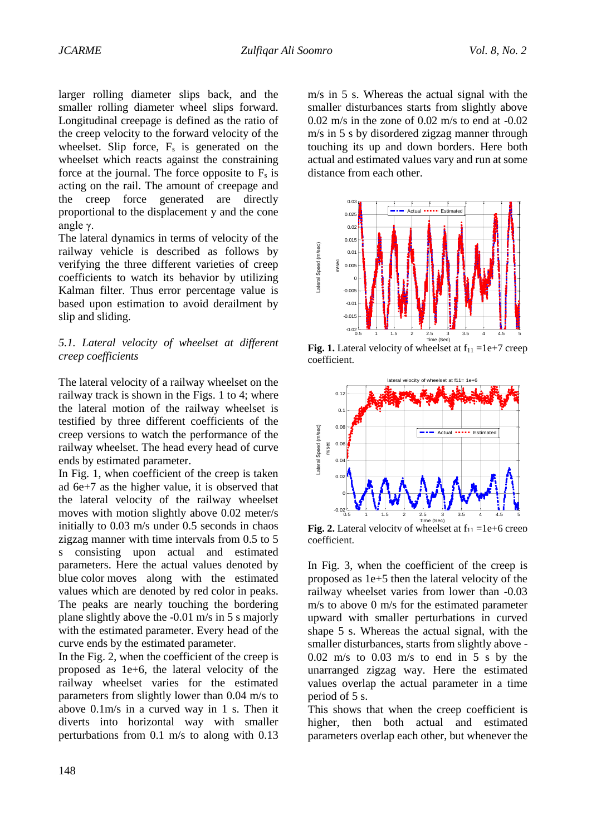larger rolling diameter slips back, and the smaller rolling diameter wheel slips forward. Longitudinal creepage is defined as the ratio of the creep velocity to the forward velocity of the wheelset. Slip force,  $F_s$  is generated on the wheelset which reacts against the constraining force at the journal. The force opposite to  $F_s$  is acting on the rail. The amount of creepage and the creep force generated are directly proportional to the displacement y and the cone angle γ.

The lateral dynamics in terms of velocity of the railway vehicle is described as follows by verifying the three different varieties of creep coefficients to watch its behavior by utilizing Kalman filter. Thus error percentage value is based upon estimation to avoid derailment by slip and sliding.

## *5.1. Lateral velocity of wheelset at different creep coefficients*

The lateral velocity of a railway wheelset on the railway track is shown in the Figs. 1 to 4; where the lateral motion of the railway wheelset is testified by three different coefficients of the creep versions to watch the performance of the railway wheelset. The head every head of curve ends by estimated parameter.

In Fig. 1, when coefficient of the creep is taken ad 6e+7 as the higher value, it is observed that the lateral velocity of the railway wheelset moves with motion slightly above 0.02 meter/s initially to 0.03 m/s under 0.5 seconds in chaos zigzag manner with time intervals from 0.5 to 5 s consisting upon actual and estimated parameters. Here the actual values denoted by blue color moves along with the estimated values which are denoted by red color in peaks. The peaks are nearly touching the bordering plane slightly above the -0.01 m/s in 5 s majorly with the estimated parameter. Every head of the curve ends by the estimated parameter.

In the Fig. 2, when the coefficient of the creep is proposed as 1e+6, the lateral velocity of the railway wheelset varies for the estimated parameters from slightly lower than 0.04 m/s to above 0.1m/s in a curved way in 1 s. Then it diverts into horizontal way with smaller perturbations from 0.1 m/s to along with 0.13

m/s in 5 s. Whereas the actual signal with the smaller disturbances starts from slightly above  $0.02$  m/s in the zone of  $0.02$  m/s to end at  $-0.02$ m/s in 5 s by disordered zigzag manner through touching its up and down borders. Here both actual and estimated values vary and run at some distance from each other.



**Fig. 1.** Lateral velocity of wheelset at  $f_{11} = 1e+7$  creep coefficient.



**Fig. 2.** Lateral velocity of wheelset at  $f_{11} = 1e+6$  creep coefficient.

In Fig. 3, when the coefficient of the creep is proposed as 1e+5 then the lateral velocity of the railway wheelset varies from lower than -0.03 m/s to above 0 m/s for the estimated parameter upward with smaller perturbations in curved shape 5 s. Whereas the actual signal, with the smaller disturbances, starts from slightly above - 0.02 m/s to 0.03 m/s to end in 5 s by the unarranged zigzag way. Here the estimated values overlap the actual parameter in a time period of 5 s.

This shows that when the creep coefficient is higher, then both actual and estimated parameters overlap each other, but whenever the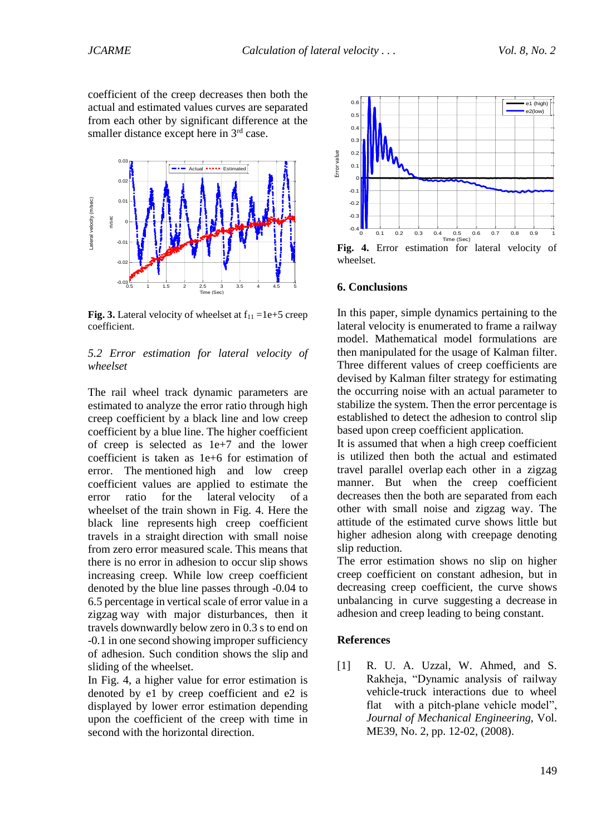coefficient of the creep decreases then both the actual and estimated values curves are separated from each other by significant difference at the smaller distance except here in 3<sup>rd</sup> case.



**Fig. 3.** Lateral velocity of wheelset at  $f_{11} = 1e+5$  creep coefficient.

#### *5.2 Error estimation for lateral velocity of wheelset*

The rail wheel track dynamic parameters are estimated to analyze the error ratio through high creep coefficient by a black line and low creep coefficient by a blue line. The higher coefficient of creep is selected as 1e+7 and the lower coefficient is taken as 1e+6 for estimation of error. The mentioned high and low creep coefficient values are applied to estimate the error ratio for the lateral velocity of a wheelset of the train shown in Fig. 4. Here the black line represents high creep coefficient travels in a straight direction with small noise from zero error measured scale. This means that there is no error in adhesion to occur slip shows increasing creep. While low creep coefficient denoted by the blue line passes through -0.04 to 6.5 percentage in vertical scale of error value in a zigzag way with major disturbances, then it travels downwardly below zero in 0.3 s to end on -0.1 in one second showing improper sufficiency of adhesion. Such condition shows the slip and sliding of the wheelset.

In Fig. 4, a higher value for error estimation is denoted by e1 by creep coefficient and e2 is displayed by lower error estimation depending upon the coefficient of the creep with time in second with the horizontal direction.



**Fig. 4.** Error estimation for lateral velocity of wheelset.

#### **6. Conclusions**

In this paper, simple dynamics pertaining to the lateral velocity is enumerated to frame a railway model. Mathematical model formulations are then manipulated for the usage of Kalman filter. Three different values of creep coefficients are devised by Kalman filter strategy for estimating the occurring noise with an actual parameter to stabilize the system. Then the error percentage is established to detect the adhesion to control slip based upon creep coefficient application.

It is assumed that when a high creep coefficient is utilized then both the actual and estimated travel parallel overlap each other in a zigzag manner. But when the creep coefficient decreases then the both are separated from each other with small noise and zigzag way. The attitude of the estimated curve shows little but higher adhesion along with creepage denoting slip reduction.

The error estimation shows no slip on higher creep coefficient on constant adhesion, but in decreasing creep coefficient, the curve shows unbalancing in curve suggesting a decrease in adhesion and creep leading to being constant.

#### **References**

[1] R. U. A. Uzzal, W. Ahmed, and S. Rakheja, "Dynamic analysis of railway vehicle-truck interactions due to wheel flat with a pitch-plane vehicle model", *Journal of Mechanical Engineering,* Vol. ME39, No. 2, pp. 12-02, (2008).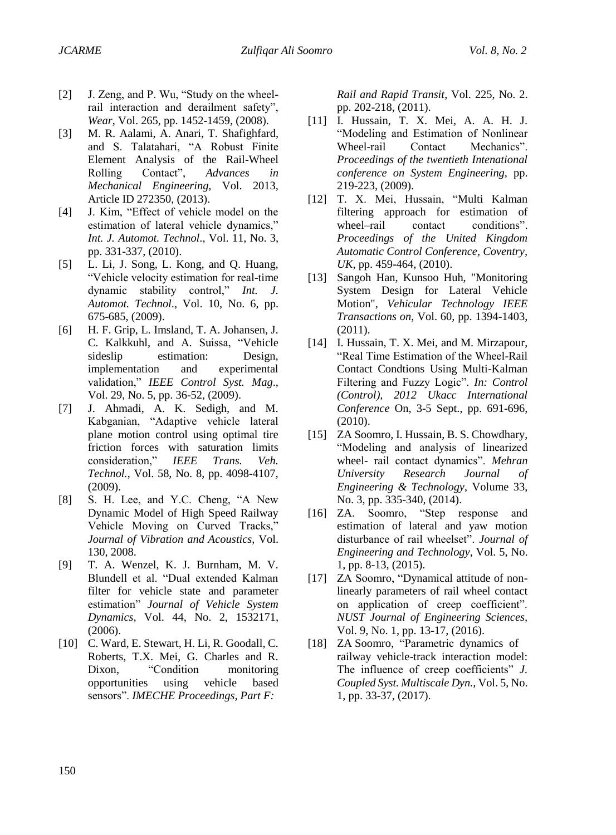- [2] J. Zeng, and P. Wu, "Study on the wheelrail interaction and derailment safety", *Wear*, Vol. 265, pp. 1452-1459, (2008).
- [3] M. R. Aalami, A. Anari, T. Shafighfard, and S. Talatahari, "A Robust Finite Element Analysis of the Rail-Wheel Rolling Contact", *Advances in Mechanical Engineering,* Vol. 2013, Article ID 272350, (2013).
- [4] J. Kim, "Effect of vehicle model on the estimation of lateral vehicle dynamics," *Int. J. Automot. Technol*., Vol. 11, No. 3, pp. 331-337, (2010).
- [5] L. Li, J. Song, L. Kong, and Q. Huang, "Vehicle velocity estimation for real-time dynamic stability control," *Int. J. Automot. Technol*., Vol. 10, No. 6, pp. 675-685, (2009).
- [6] H. F. Grip, L. Imsland, T. A. Johansen, J. C. Kalkkuhl, and A. Suissa, "Vehicle sideslip estimation: Design, implementation and experimental validation," *IEEE Control Syst. Mag*., Vol. 29, No. 5, pp. 36-52, (2009).
- [7] J. Ahmadi, A. K. Sedigh, and M. Kabganian, "Adaptive vehicle lateral plane motion control using optimal tire friction forces with saturation limits consideration," *IEEE Trans. Veh. Technol.*, Vol. 58, No. 8, pp. 4098-4107, (2009).
- [8] S. H. Lee, and Y.C. Cheng, "A New Dynamic Model of High Speed Railway Vehicle Moving on Curved Tracks," *Journal of Vibration and Acoustics*, Vol. 130, 2008.
- [9] T. A. Wenzel, K. J. Burnham, M. V. Blundell et al. "Dual extended Kalman filter for vehicle state and parameter estimation" *Journal of Vehicle System Dynamics,* Vol. 44, No. 2, 1532171, (2006).
- [10] C. Ward, E. Stewart, H. Li, R. Goodall, C. Roberts, T.X. Mei, G. Charles and R. Dixon, "Condition monitoring opportunities using vehicle based sensors". *IMECHE Proceedings, Part F:*

*Rail and Rapid Transit*, Vol. 225, No. 2. pp. 202-218, (2011).

- [11] I. Hussain, T. X. Mei, A. A. H. J. "Modeling and Estimation of Nonlinear Wheel-rail Contact Mechanics". *Proceedings of the twentieth Intenational conference on System Engineering,* pp. 219-223, (2009).
- [12] T. X. Mei, Hussain, "Multi Kalman filtering approach for estimation of wheel–rail contact conditions". *Proceedings of the United Kingdom Automatic Control Conference, Coventry, UK*, pp. 459-464, (2010).
- [13] Sangoh Han, Kunsoo Huh, "Monitoring System Design for Lateral Vehicle Motion", *Vehicular Technology IEEE Transactions on*, Vol. 60, pp. 1394-1403, (2011).
- [14] I. Hussain, T. X. Mei, and M. Mirzapour, "Real Time Estimation of the Wheel-Rail Contact Condtions Using Multi-Kalman Filtering and Fuzzy Logic". *In: Control (Control), 2012 Ukacc International Conference* On, 3-5 Sept., pp. 691-696, (2010).
- [15] ZA Soomro, I. Hussain, B. S. Chowdhary, "Modeling and analysis of linearized wheel- rail contact dynamics". *Mehran University Research Journal of Engineering & Technology*, Volume 33, No. 3, pp. 335-340, (2014).
- [16] ZA. Soomro, "Step response and estimation of lateral and yaw motion disturbance of rail wheelset". *Journal of Engineering and Technology*, Vol. 5, No. 1, pp. 8-13, (2015).
- [17] ZA Soomro, "Dynamical attitude of nonlinearly parameters of rail wheel contact on application of creep coefficient". *NUST Journal of Engineering Sciences,* Vol. 9, No. 1, pp. 13-17, (2016).
- [18] ZA Soomro, "Parametric dynamics of railway vehicle-track interaction model: The influence of creep coefficients" *J. Coupled Syst. Multiscale Dyn.,* Vol. 5, No. 1, pp. 33-37, (2017).